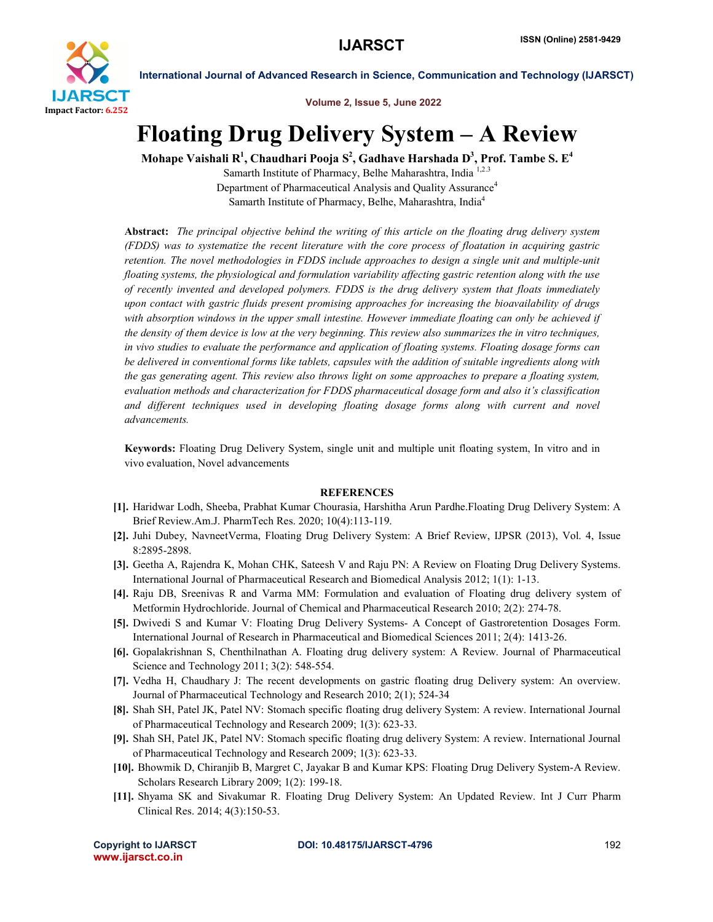

International Journal of Advanced Research in Science, Communication and Technology (IJARSCT)

Volume 2, Issue 5, June 2022

# Floating Drug Delivery System – A Review

Mohape Vaishali R $^1$ , Chaudhari Pooja S $^2$ , Gadhave Harshada D $^3$ , Prof. Tambe S. E $^4$ 

Samarth Institute of Pharmacy, Belhe Maharashtra, India<sup>1,2.3</sup> Department of Pharmaceutical Analysis and Quality Assurance<sup>4</sup> Samarth Institute of Pharmacy, Belhe, Maharashtra, India4

Abstract: *The principal objective behind the writing of this article on the floating drug delivery system (FDDS) was to systematize the recent literature with the core process of floatation in acquiring gastric retention. The novel methodologies in FDDS include approaches to design a single unit and multiple-unit floating systems, the physiological and formulation variability affecting gastric retention along with the use of recently invented and developed polymers. FDDS is the drug delivery system that floats immediately upon contact with gastric fluids present promising approaches for increasing the bioavailability of drugs with absorption windows in the upper small intestine. However immediate floating can only be achieved if the density of them device is low at the very beginning. This review also summarizes the in vitro techniques, in vivo studies to evaluate the performance and application of floating systems. Floating dosage forms can be delivered in conventional forms like tablets, capsules with the addition of suitable ingredients along with the gas generating agent. This review also throws light on some approaches to prepare a floating system, evaluation methods and characterization for FDDS pharmaceutical dosage form and also it's classification and different techniques used in developing floating dosage forms along with current and novel advancements.*

Keywords: Floating Drug Delivery System, single unit and multiple unit floating system, In vitro and in vivo evaluation, Novel advancements

## **REFERENCES**

- [1]. Haridwar Lodh, Sheeba, Prabhat Kumar Chourasia, Harshitha Arun Pardhe.Floating Drug Delivery System: A Brief Review.Am.J. PharmTech Res. 2020; 10(4):113-119.
- [2]. Juhi Dubey, NavneetVerma, Floating Drug Delivery System: A Brief Review, IJPSR (2013), Vol. 4, Issue 8:2895-2898.
- [3]. Geetha A, Rajendra K, Mohan CHK, Sateesh V and Raju PN: A Review on Floating Drug Delivery Systems. International Journal of Pharmaceutical Research and Biomedical Analysis 2012; 1(1): 1-13.
- [4]. Raju DB, Sreenivas R and Varma MM: Formulation and evaluation of Floating drug delivery system of Metformin Hydrochloride. Journal of Chemical and Pharmaceutical Research 2010; 2(2): 274-78.
- [5]. Dwivedi S and Kumar V: Floating Drug Delivery Systems- A Concept of Gastroretention Dosages Form. International Journal of Research in Pharmaceutical and Biomedical Sciences 2011; 2(4): 1413-26.
- [6]. Gopalakrishnan S, Chenthilnathan A. Floating drug delivery system: A Review. Journal of Pharmaceutical Science and Technology 2011; 3(2): 548-554.
- [7]. Vedha H, Chaudhary J: The recent developments on gastric floating drug Delivery system: An overview. Journal of Pharmaceutical Technology and Research 2010; 2(1); 524-34
- [8]. Shah SH, Patel JK, Patel NV: Stomach specific floating drug delivery System: A review. International Journal of Pharmaceutical Technology and Research 2009; 1(3): 623-33.
- [9]. Shah SH, Patel JK, Patel NV: Stomach specific floating drug delivery System: A review. International Journal of Pharmaceutical Technology and Research 2009; 1(3): 623-33.
- [10]. Bhowmik D, Chiranjib B, Margret C, Jayakar B and Kumar KPS: Floating Drug Delivery System-A Review. Scholars Research Library 2009; 1(2): 199-18.
- [11]. Shyama SK and Sivakumar R. Floating Drug Delivery System: An Updated Review. Int J Curr Pharm Clinical Res. 2014; 4(3):150-53.